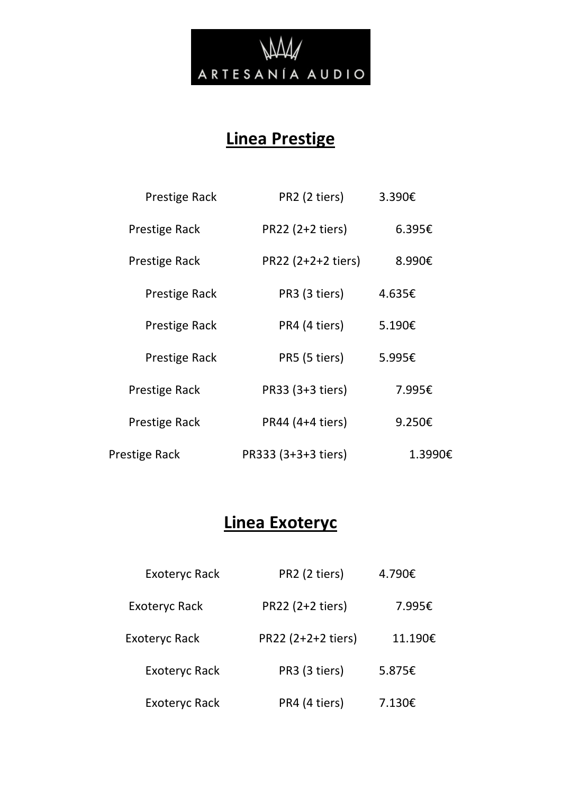

# **Linea Prestige**

| <b>Prestige Rack</b> | PR2 (2 tiers)       | 3.390€  |
|----------------------|---------------------|---------|
| Prestige Rack        | PR22 (2+2 tiers)    | 6.395€  |
| Prestige Rack        | PR22 (2+2+2 tiers)  | 8.990€  |
| Prestige Rack        | PR3 (3 tiers)       | 4.635€  |
| Prestige Rack        | PR4 (4 tiers)       | 5.190€  |
| <b>Prestige Rack</b> | PR5 (5 tiers)       | 5.995€  |
| Prestige Rack        | PR33 (3+3 tiers)    | 7.995€  |
| Prestige Rack        | PR44 (4+4 tiers)    | 9.250€  |
| Prestige Rack        | PR333 (3+3+3 tiers) | 1.3990€ |

# **Linea Exoteryc**

| <b>Exoteryc Rack</b> | PR2 (2 tiers)      | 4.790€  |
|----------------------|--------------------|---------|
| <b>Exoteryc Rack</b> | PR22 (2+2 tiers)   | 7.995€  |
| <b>Exoteryc Rack</b> | PR22 (2+2+2 tiers) | 11.190€ |
| <b>Exoteryc Rack</b> | PR3 (3 tiers)      | 5.875€  |
| <b>Exoteryc Rack</b> | PR4 (4 tiers)      | 7.130€  |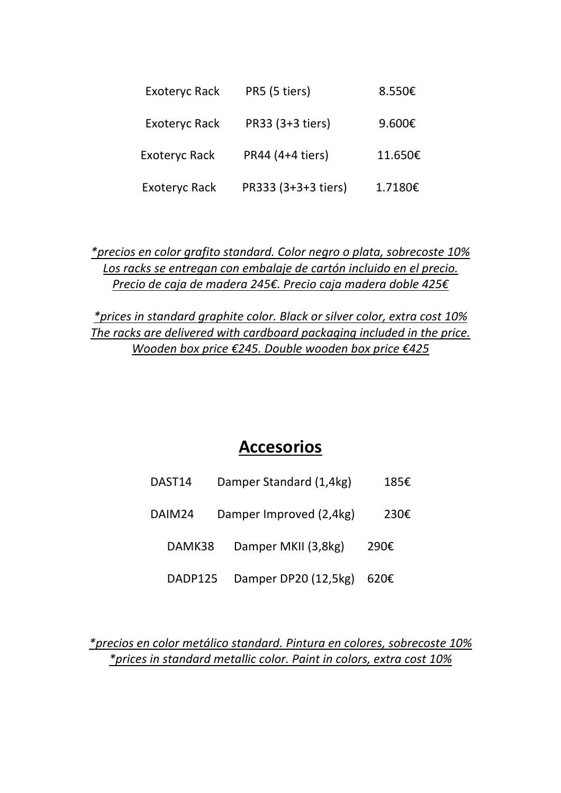| <b>Exoteryc Rack</b> | PR5 (5 tiers)       | 8.550€  |
|----------------------|---------------------|---------|
| <b>Exoteryc Rack</b> | PR33 (3+3 tiers)    | 9.600€  |
| <b>Exoteryc Rack</b> | PR44 (4+4 tiers)    | 11.650€ |
| <b>Exoteryc Rack</b> | PR333 (3+3+3 tiers) | 1.7180€ |

*\*precios en color grafito standard. Color negro o plata, sobrecoste 10% Los racks se entregan con embalaje de cartón incluido en el precio. Precio de caja de madera 245€. Precio caja madera doble 425€*

*\*prices in standard graphite color. Black or silver color, extra cost 10% The racks are delivered with cardboard packaging included in the price. Wooden box price €245. Double wooden box price €425*

### **Accesorios**

| DAST <sub>14</sub> | Damper Standard (1,4kg) | 185€ |
|--------------------|-------------------------|------|
|--------------------|-------------------------|------|

DAIM24 Damper Improved (2,4kg) 230€

- DAMK38 Damper MKII (3,8kg) 290€
- DADP125 Damper DP20 (12,5kg) 620€

*\*precios en color metálico standard. Pintura en colores, sobrecoste 10% \*prices in standard metallic color. Paint in colors, extra cost 10%*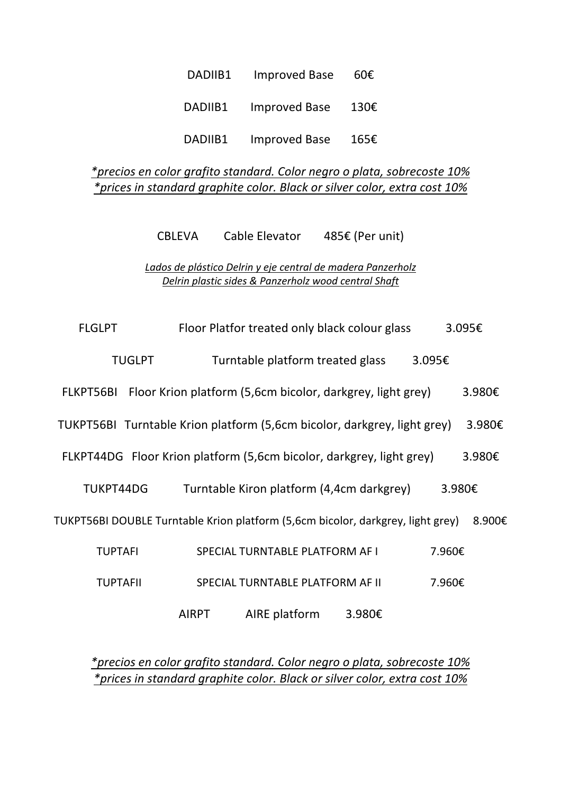| DADIIB1 | <b>Improved Base</b> | 60E  |
|---------|----------------------|------|
| DADIIB1 | Improved Base        | 130€ |
| DADIIB1 | <b>Improved Base</b> | 165€ |

#### *\*precios en color grafito standard. Color negro o plata, sobrecoste 10% \*prices in standard graphite color. Black or silver color, extra cost 10%*

CBLEVA Cable Elevator 485€ (Per unit)

*Lados de plástico Delrin y eje central de madera Panzerholz Delrin plastic sides & Panzerholz wood central Shaft*

| <b>FLGLPT</b>   |               |              | Floor Platfor treated only black colour glass                                   |        |        | 3.095€ |
|-----------------|---------------|--------------|---------------------------------------------------------------------------------|--------|--------|--------|
|                 | <b>TUGLPT</b> |              | Turntable platform treated glass                                                |        | 3.095€ |        |
| FLKPT56BI       |               |              | Floor Krion platform (5,6cm bicolor, darkgrey, light grey)                      |        |        | 3.980€ |
|                 |               |              | TUKPT56BI Turntable Krion platform (5,6cm bicolor, darkgrey, light grey)        |        |        | 3.980€ |
|                 |               |              | FLKPT44DG Floor Krion platform (5,6cm bicolor, darkgrey, light grey)            |        |        | 3.980€ |
| TUKPT44DG       |               |              | Turntable Kiron platform (4,4cm darkgrey)                                       |        | 3.980€ |        |
|                 |               |              | TUKPT56BI DOUBLE Turntable Krion platform (5,6cm bicolor, darkgrey, light grey) |        |        | 8.900€ |
| <b>TUPTAFI</b>  |               |              | SPECIAL TURNTABLE PLATFORM AF I                                                 |        | 7.960€ |        |
| <b>TUPTAFII</b> |               |              | SPECIAL TURNTABLE PLATFORM AF II                                                |        | 7.960€ |        |
|                 |               | <b>AIRPT</b> | AIRE platform                                                                   | 3.980€ |        |        |

*\*precios en color grafito standard. Color negro o plata, sobrecoste 10% \*prices in standard graphite color. Black or silver color, extra cost 10%*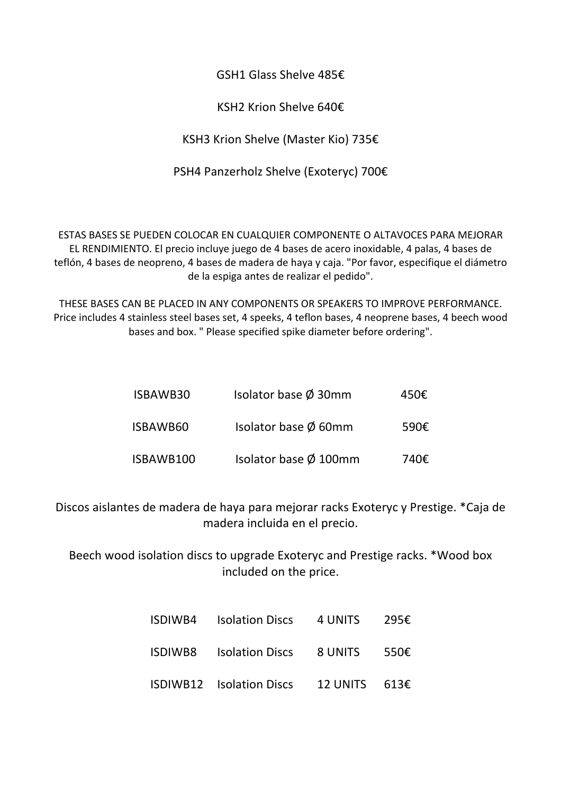GSH1 Glass Shelve 485€

KSH2 Krion Shelve 640€

KSH3 Krion Shelve (Master Kio) 735€

PSH4 Panzerholz Shelve (Exoteryc) 700€

ESTAS BASES SE PUEDEN COLOCAR EN CUALQUIER COMPONENTE O ALTAVOCES PARA MEJORAR EL RENDIMIENTO. El precio incluye juego de 4 bases de acero inoxidable, 4 palas, 4 bases de teflón, 4 bases de neopreno, 4 bases de madera de haya y caja. "Por favor, especifique el diámetro de la espiga antes de realizar el pedido".

THESE BASES CAN BE PLACED IN ANY COMPONENTS OR SPEAKERS TO IMPROVE PERFORMANCE. Price includes 4 stainless steel bases set, 4 speeks, 4 teflon bases, 4 neoprene bases, 4 beech wood bases and box. " Please specified spike diameter before ordering".

| ISBAWB30  | Isolator base $\varnothing$ 30mm  | 450€ |
|-----------|-----------------------------------|------|
| ISBAWB60  | Isolator base Ø 60mm              | 590€ |
| ISBAWB100 | Isolator base $\varnothing$ 100mm | 740€ |

Discos aislantes de madera de haya para mejorar racks Exoteryc y Prestige. \*Caja de madera incluida en el precio.

Beech wood isolation discs to upgrade Exoteryc and Prestige racks. \*Wood box included on the price.

| ISDIWB4 Isolation Discs                | 4 UNITS                | 295€ |
|----------------------------------------|------------------------|------|
| <b>ISDIWB8</b> Isolation Discs 8 UNITS |                        | 550€ |
| <b>ISDIWB12</b> Isolation Discs        | 12 UNITS $613\epsilon$ |      |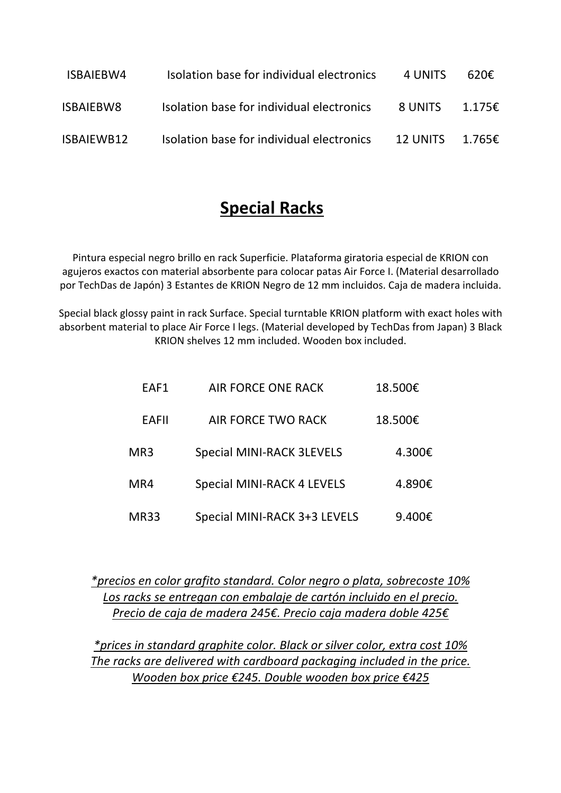| ISBAIEBW4        | Isolation base for individual electronics | 4 UNITS         | 620£             |
|------------------|-------------------------------------------|-----------------|------------------|
| <b>ISBAIEBW8</b> | Isolation base for individual electronics | 8 UNITS         | 1.175 $\epsilon$ |
| ISBAIEWB12       | Isolation base for individual electronics | <b>12 UNITS</b> | 1.765€           |

## **Special Racks**

Pintura especial negro brillo en rack Superficie. Plataforma giratoria especial de KRION con agujeros exactos con material absorbente para colocar patas Air Force I. (Material desarrollado por TechDas de Japón) 3 Estantes de KRION Negro de 12 mm incluidos. Caja de madera incluida.

Special black glossy paint in rack Surface. Special turntable KRION platform with exact holes with absorbent material to place Air Force I legs. (Material developed by TechDas from Japan) 3 Black KRION shelves 12 mm included. Wooden box included.

| EAF1         | <b>AIR FORCE ONE RACK</b>         | 18.500€ |
|--------------|-----------------------------------|---------|
| <b>EAFII</b> | AIR FORCE TWO RACK                | 18.500€ |
| MR3          | <b>Special MINI-RACK 3LEVELS</b>  | 4.300€  |
| MR4          | <b>Special MINI-RACK 4 LEVELS</b> | 4.890€  |
| MR33         | Special MINI-RACK 3+3 LEVELS      | 9.400€  |

*\*precios en color grafito standard. Color negro o plata, sobrecoste 10% Los racks se entregan con embalaje de cartón incluido en el precio. Precio de caja de madera 245€. Precio caja madera doble 425€*

*\*prices in standard graphite color. Black or silver color, extra cost 10% The racks are delivered with cardboard packaging included in the price. Wooden box price €245. Double wooden box price €425*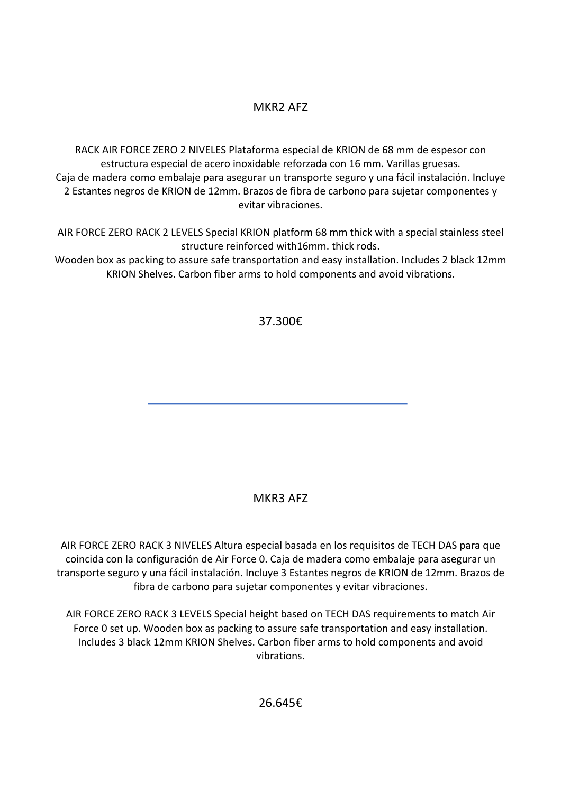#### MKR2 AFZ

RACK AIR FORCE ZERO 2 NIVELES Plataforma especial de KRION de 68 mm de espesor con estructura especial de acero inoxidable reforzada con 16 mm. Varillas gruesas. Caja de madera como embalaje para asegurar un transporte seguro y una fácil instalación. Incluye 2 Estantes negros de KRION de 12mm. Brazos de fibra de carbono para sujetar componentes y evitar vibraciones.

AIR FORCE ZERO RACK 2 LEVELS Special KRION platform 68 mm thick with a special stainless steel structure reinforced with16mm. thick rods.

Wooden box as packing to assure safe transportation and easy installation. Includes 2 black 12mm KRION Shelves. Carbon fiber arms to hold components and avoid vibrations.

37.300€

#### MKR3 AFZ

AIR FORCE ZERO RACK 3 NIVELES Altura especial basada en los requisitos de TECH DAS para que coincida con la configuración de Air Force 0. Caja de madera como embalaje para asegurar un transporte seguro y una fácil instalación. Incluye 3 Estantes negros de KRION de 12mm. Brazos de fibra de carbono para sujetar componentes y evitar vibraciones.

AIR FORCE ZERO RACK 3 LEVELS Special height based on TECH DAS requirements to match Air Force 0 set up. Wooden box as packing to assure safe transportation and easy installation. Includes 3 black 12mm KRION Shelves. Carbon fiber arms to hold components and avoid vibrations.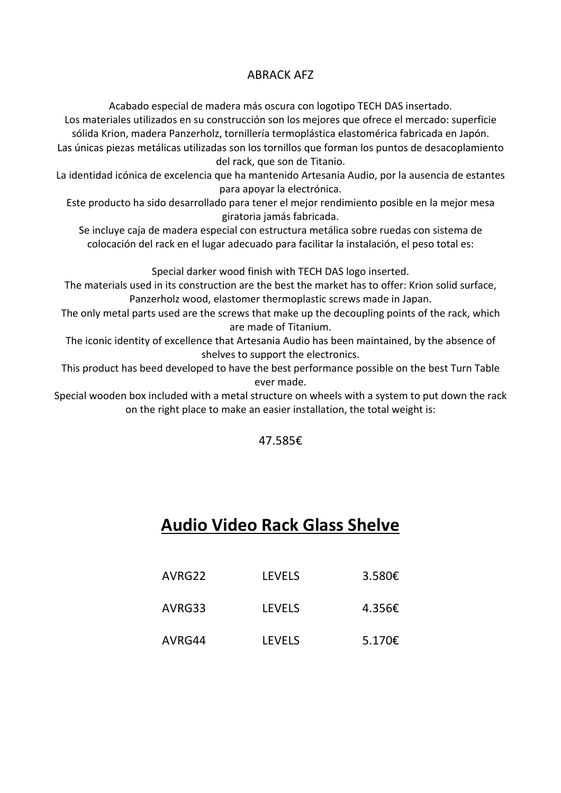#### ABRACK AFZ

Acabado especial de madera más oscura con logotipo TECH DAS insertado.

Los materiales utilizados en su construcción son los mejores que ofrece el mercado: superficie sólida Krion, madera Panzerholz, tornillería termoplástica elastomérica fabricada en Japón. Las únicas piezas metálicas utilizadas son los tornillos que forman los puntos de desacoplamiento del rack, que son de Titanio.

La identidad icónica de excelencia que ha mantenido Artesania Audio, por la ausencia de estantes para apoyar la electrónica.

Este producto ha sido desarrollado para tener el mejor rendimiento posible en la mejor mesa giratoria jamás fabricada.

Se incluye caja de madera especial con estructura metálica sobre ruedas con sistema de colocación del rack en el lugar adecuado para facilitar la instalación, el peso total es:

Special darker wood finish with TECH DAS logo inserted.

The materials used in its construction are the best the market has to offer: Krion solid surface, Panzerholz wood, elastomer thermoplastic screws made in Japan.

The only metal parts used are the screws that make up the decoupling points of the rack, which are made of Titanium.

The iconic identity of excellence that Artesania Audio has been maintained, by the absence of shelves to support the electronics.

This product has beed developed to have the best performance possible on the best Turn Table ever made.

Special wooden box included with a metal structure on wheels with a system to put down the rack on the right place to make an easier installation, the total weight is:

47.585€

## **Audio Video Rack Glass Shelve**

| AVRG22 | <b>LEVELS</b> | 3.580€           |
|--------|---------------|------------------|
| AVRG33 | <b>LEVELS</b> | 4.356 $\epsilon$ |
| AVRG44 | <b>LEVELS</b> | 5.170€           |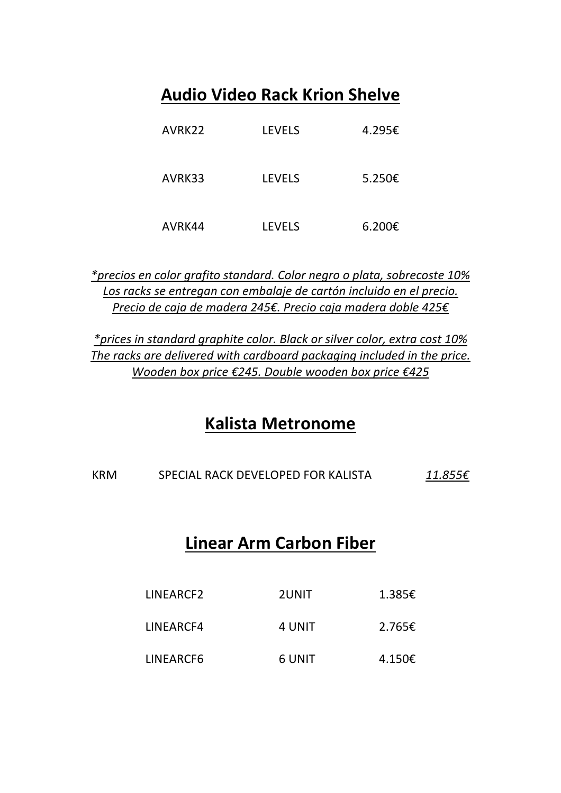# **Audio Video Rack Krion Shelve**

| AVRK22 | <b>LEVELS</b> | 4.295€ |
|--------|---------------|--------|
| AVRK33 | <b>LEVELS</b> | 5.250€ |
| AVRK44 | <b>LEVELS</b> | 6.200€ |

*\*precios en color grafito standard. Color negro o plata, sobrecoste 10% Los racks se entregan con embalaje de cartón incluido en el precio. Precio de caja de madera 245€. Precio caja madera doble 425€*

*\*prices in standard graphite color. Black or silver color, extra cost 10% The racks are delivered with cardboard packaging included in the price. Wooden box price €245. Double wooden box price €425*

### **Kalista Metronome**

KRM SPECIAL RACK DEVELOPED FOR KALISTA *11.855€*

### **Linear Arm Carbon Fiber**

| LINEARCF2 | 2UNIT  | 1.385€ |
|-----------|--------|--------|
| LINEARCF4 | 4 UNIT | 2.765E |
| LINEARCF6 | 6 UNIT | 4.150€ |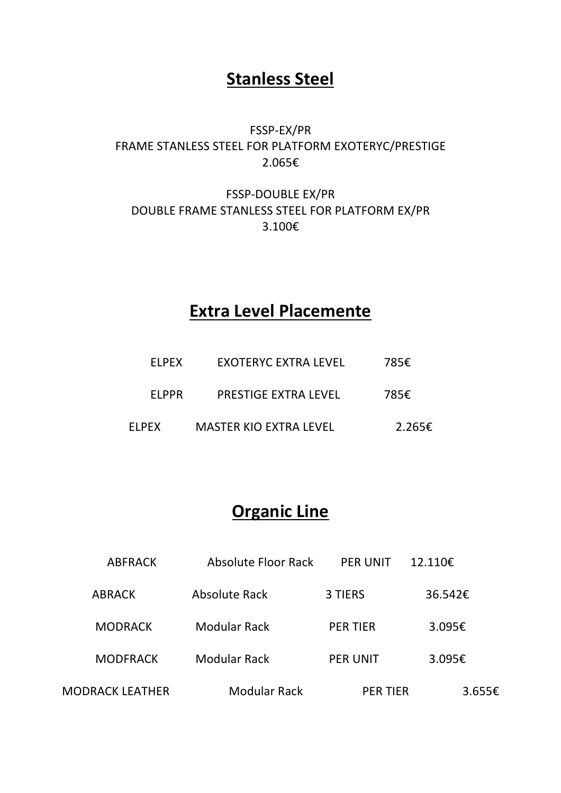## **Stanless Steel**

### FSSP-EX/PR FRAME STANLESS STEEL FOR PLATFORM EXOTERYC/PRESTIGE 2.065€

#### FSSP-DOUBLE EX/PR DOUBLE FRAME STANLESS STEEL FOR PLATFORM EX/PR 3.100€

## **Extra Level Placemente**

| FI PFX       | <b>EXOTERYC EXTRA LEVEL</b>   | 785€   |
|--------------|-------------------------------|--------|
| FI PPR       | PRESTIGE EXTRA LEVEL          | 785€   |
| <b>ELPEX</b> | <b>MASTER KIO EXTRA LEVEL</b> | 2.265€ |

## **Organic Line**

| <b>ABFRACK</b>  | Absolute Floor Rack | <b>PER UNIT</b> | 12.110€ |
|-----------------|---------------------|-----------------|---------|
| <b>ABRACK</b>   | Absolute Rack       | 3 TIERS         | 36.542€ |
| <b>MODRACK</b>  | Modular Rack        | <b>PER TIER</b> | 3.095€  |
| <b>MODFRACK</b> | <b>Modular Rack</b> | <b>PER UNIT</b> | 3.095€  |
| MODRACK LEATHER | <b>Modular Rack</b> | <b>PER TIER</b> | 3.655€  |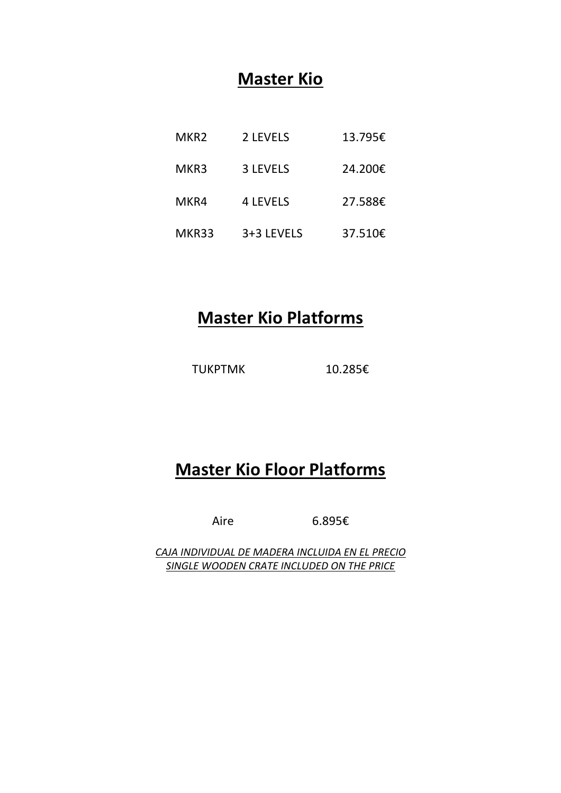## **Master Kio**

| MKR <sub>2</sub> | 2 LEVELS        | 13.795€ |
|------------------|-----------------|---------|
| MKR3             | <b>3 LEVELS</b> | 24.200€ |
| MKR4             | <b>4 LEVELS</b> | 27.588€ |
| MKR33            | 3+3 LEVELS      | 37.510€ |

# **Master Kio Platforms**

TUKPTMK 10.285€

# **Master Kio Floor Platforms**

Aire 6.895€

*CAJA INDIVIDUAL DE MADERA INCLUIDA EN EL PRECIO SINGLE WOODEN CRATE INCLUDED ON THE PRICE*